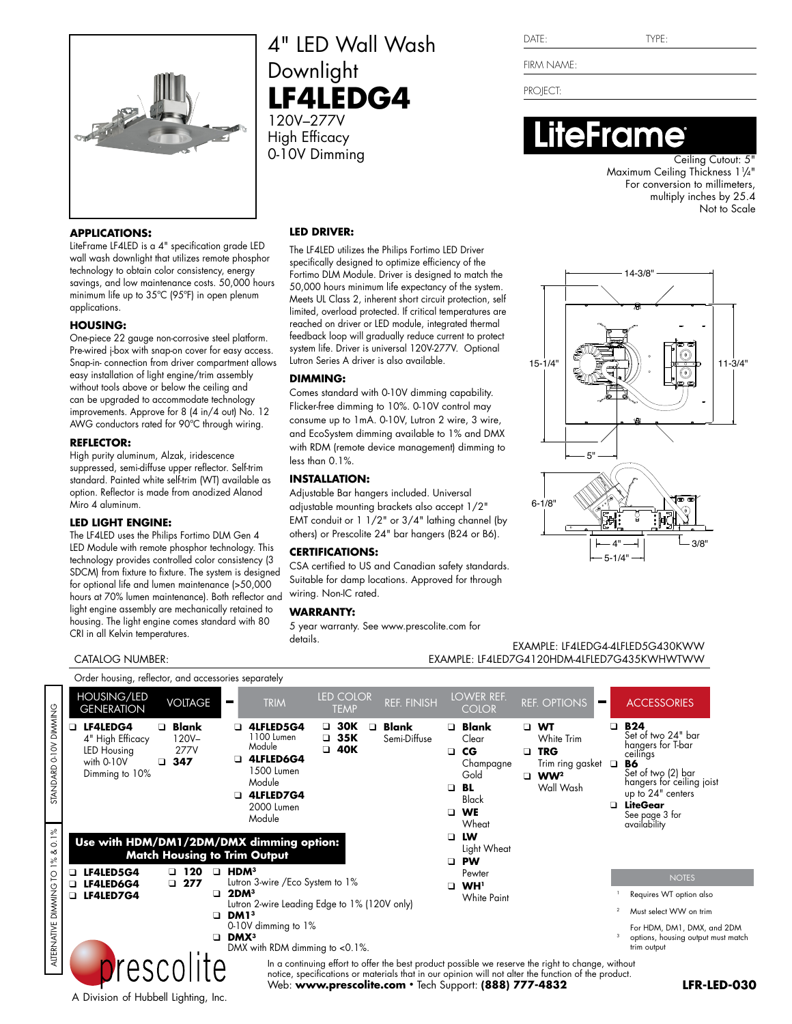

#### **APPLICATIONS:**

LiteFrame LF4LED is a 4" specification grade LED wall wash downlight that utilizes remote phosphor technology to obtain color consistency, energy savings, and low maintenance costs. 50,000 hours minimum life up to 35ºC (95ºF) in open plenum applications.

#### **HOUSING:**

One-piece 22 gauge non-corrosive steel platform. Pre-wired j-box with snap-on cover for easy access. Snap-in- connection from driver compartment allows easy installation of light engine/trim assembly without tools above or below the ceiling and can be upgraded to accommodate technology improvements. Approve for 8 (4 in/4 out) No. 12 AWG conductors rated for 90ºC through wiring.

#### **REFLECTOR:**

High purity aluminum, Alzak, iridescence suppressed, semi-diffuse upper reflector. Self-trim standard. Painted white self-trim (WT) available as option. Reflector is made from anodized Alanod Miro 4 aluminum.

#### **LED LIGHT ENGINE:**

CATALOG NUMBER:

The LF4LED uses the Philips Fortimo DLM Gen 4 LED Module with remote phosphor technology. This technology provides controlled color consistency (3 SDCM) from fixture to fixture. The system is designed for optional life and lumen maintenance (>50,000 hours at 70% lumen maintenance). Both reflector and light engine assembly are mechanically retained to housing. The light engine comes standard with 80 CRI in all Kelvin temperatures.

### 4" LED Wall Wash Downlight **LF4LEDG4** 120V–277V

High Efficacy 0-10V Dimming Cutout: 5"

#### **LED DRIVER:**

The LF4LED utilizes the Philips Fortimo LED Driver specifically designed to optimize efficiency of the Fortimo DLM Module. Driver is designed to match the 50,000 hours minimum life expectancy of the system. Meets UL Class 2, inherent short circuit protection, self limited, overload protected. If critical temperatures are reached on driver or LED module, integrated thermal feedback loop will gradually reduce current to protect system life. Driver is universal 120V-277V. Optional Lutron Series A driver is also available.

#### **DIMMING:**

Comes standard with 0-10V dimming capability. Flicker-free dimming to 10%. 0-10V control may consume up to 1mA. 0-10V, Lutron 2 wire, 3 wire, and EcoSystem dimming available to 1% and DMX with RDM (remote device management) dimming to less than 0.1%.

#### **INSTALLATION:**

Adjustable Bar hangers included. Universal adjustable mounting brackets also accept 1/2" EMT conduit or 1 1/2" or 3/4" lathing channel (by others) or Prescolite 24" bar hangers (B24 or B6).

#### **CERTIFICATIONS:**

CSA certified to US and Canadian safety standards. Suitable for damp locations. Approved for through wiring. Non-IC rated.

#### **WARRANTY:**

5 year warranty. See www.prescolite.com for details.

FIRM NAME:

PROJECT:

## **iteFrame**

Maximum Ceiling Thickness 11 /4" For conversion to millimeters, multiply inches by 25.4 Not to Scale



**LFR-LED-030**

match

EXAMPLE: LF4LEDG4-4LFLED5G430KWW EXAMPLE: LF4LED7G4120HDM-4LFLED7G435KWHWTWW

|                                | Order housing, reflector, and accessories separately                               |                                                             |                                                                                                                  |                                                     |                       |                                                                                                                               |                                                                                                                                                                                                          |                                                                                                                                                                                        |
|--------------------------------|------------------------------------------------------------------------------------|-------------------------------------------------------------|------------------------------------------------------------------------------------------------------------------|-----------------------------------------------------|-----------------------|-------------------------------------------------------------------------------------------------------------------------------|----------------------------------------------------------------------------------------------------------------------------------------------------------------------------------------------------------|----------------------------------------------------------------------------------------------------------------------------------------------------------------------------------------|
|                                | <b>HOUSING/LED</b><br><b>GENERATION</b>                                            | <b>VOLTAGE</b>                                              | <b>TRIM</b><br>$\blacksquare$                                                                                    | <b>LED COLOR</b><br><b>TEMP</b>                     | <b>REF. FINISH</b>    | LOWER REF.<br><b>COLOR</b>                                                                                                    | <b>REF. OPTIONS</b>                                                                                                                                                                                      | <b>ACCESSORIES</b><br>$\blacksquare$                                                                                                                                                   |
| STANDARD 0-10V DIMMING         | <b>LF4LEDG4</b><br>4" High Efficacy<br>LED Housing<br>with 0-10V<br>Dimming to 10% | <b>Blank</b><br>$\Box$<br>$120V -$<br>277V<br>347<br>$\Box$ | 4LFLED5G4<br>1100 Lumen<br>Module<br>4LFLED6G4<br>1500 Lumen<br>Module<br>4LFLED7G4<br>◻<br>2000 Lumen<br>Module | $\Box$ 30K<br>$\Box$<br>$\Box$ 35K<br>40K<br>$\Box$ | Blank<br>Semi-Diffuse | $\Box$ Blank<br>Clear<br>$C$ G<br>$\Box$<br>Champagne<br>Gold<br>BL<br>$\Box$<br><b>Black</b><br><b>WE</b><br>$\Box$<br>Wheat | $\Box$ WT<br>White Trim<br><b>TRG</b><br>$\Box$<br>Trim ring gasket $\Box$<br>$\Box$ WW <sup>2</sup><br>Wall Wash                                                                                        | $\Box$ B24<br>Set of two 24" bar<br>hangers for T-bar<br>ceilings<br>B6<br>Set of two (2) bar<br>hangers for ceiling joist<br>up to 24" centers<br><b>Q</b> LiteGear<br>See page 3 for |
| $0.1\%$<br>ళ<br>$1\frac{8}{6}$ |                                                                                    |                                                             | Use with HDM/DM1/2DM/DMX dimming option:<br><b>Match Housing to Trim Output</b>                                  |                                                     |                       | LW<br>◻<br>Light Wheat<br><b>PW</b><br>$\Box$                                                                                 |                                                                                                                                                                                                          | availability                                                                                                                                                                           |
|                                | LF4LED5G4<br>LF4LED6G4                                                             | $\Box$ 120<br>$\Box$<br>$\square$ 277                       | HDM <sup>3</sup><br>Lutron 3-wire / Eco System to 1%                                                             |                                                     |                       | Pewter                                                                                                                        |                                                                                                                                                                                                          | <b>NOTES</b>                                                                                                                                                                           |
|                                | <b>LF4LED7G4</b>                                                                   | $\Box$                                                      | 2DM <sup>3</sup>                                                                                                 |                                                     |                       | WH <sup>1</sup><br><b>□</b><br>White Paint                                                                                    |                                                                                                                                                                                                          | Requires WT option also                                                                                                                                                                |
|                                |                                                                                    | $\Box$                                                      | DM1 <sup>3</sup>                                                                                                 | Lutron 2-wire Leading Edge to 1% (120V only)        |                       |                                                                                                                               | $\overline{\mathbf{2}}$<br>Must select WW on trim                                                                                                                                                        |                                                                                                                                                                                        |
| ALTERNATIVE DIMMING TO         |                                                                                    | $\Box$                                                      | 0-10V dimming to 1%<br>DMX <sup>3</sup><br>DMX with RDM dimming to $< 0.1\%$ .                                   |                                                     |                       |                                                                                                                               |                                                                                                                                                                                                          | For HDM, DM1, DMX, and 2DM<br>options, housing output must mate<br>trim output                                                                                                         |
|                                | A Division of Hubbell Lighting, Inc.                                               | prescolite                                                  |                                                                                                                  |                                                     |                       | Web: www.prescolite.com • Tech Support: (888) 777-4832                                                                        | In a continuing effort to offer the best product possible we reserve the right to change, without<br>notice, specifications or materials that in our opinion will not alter the function of the product. | LFR-LED-0                                                                                                                                                                              |